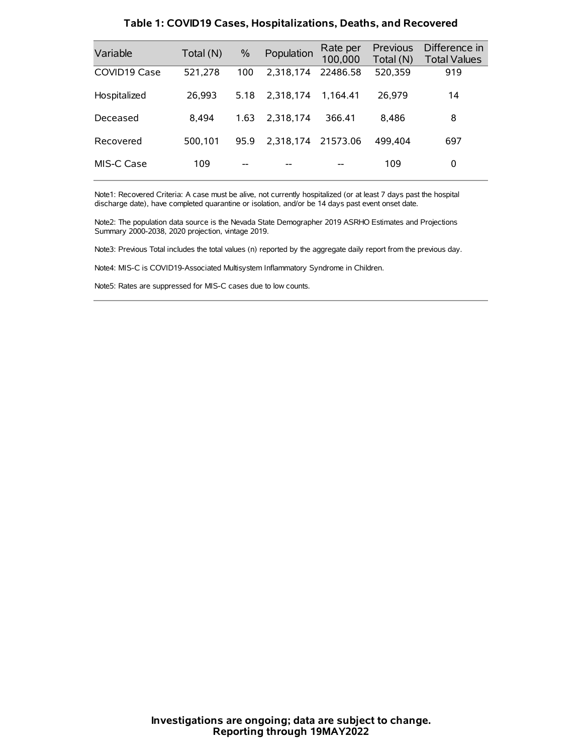| Variable     | Total (N) | $\frac{0}{0}$ | Population | Rate per<br>100,000 | <b>Previous</b><br>Total (N) | Difference in<br><b>Total Values</b> |
|--------------|-----------|---------------|------------|---------------------|------------------------------|--------------------------------------|
| COVID19 Case | 521,278   | 100           | 2.318.174  | 22486.58            | 520,359                      | 919                                  |
| Hospitalized | 26.993    | 5.18          | 2.318.174  | 1.164.41            | 26.979                       | 14                                   |
| Deceased     | 8.494     | 1.63          | 2.318.174  | 366.41              | 8.486                        | 8                                    |
| Recovered    | 500,101   | 95.9          | 2.318.174  | 21573.06            | 499.404                      | 697                                  |
| MIS-C Case   | 109       | --            |            |                     | 109                          | 0                                    |

#### **Table 1: COVID19 Cases, Hospitalizations, Deaths, and Recovered**

Note1: Recovered Criteria: A case must be alive, not currently hospitalized (or at least 7 days past the hospital discharge date), have completed quarantine or isolation, and/or be 14 days past event onset date.

Note2: The population data source is the Nevada State Demographer 2019 ASRHO Estimates and Projections Summary 2000-2038, 2020 projection, vintage 2019.

Note3: Previous Total includes the total values (n) reported by the aggregate daily report from the previous day.

Note4: MIS-C is COVID19-Associated Multisystem Inflammatory Syndrome in Children.

Note5: Rates are suppressed for MIS-C cases due to low counts.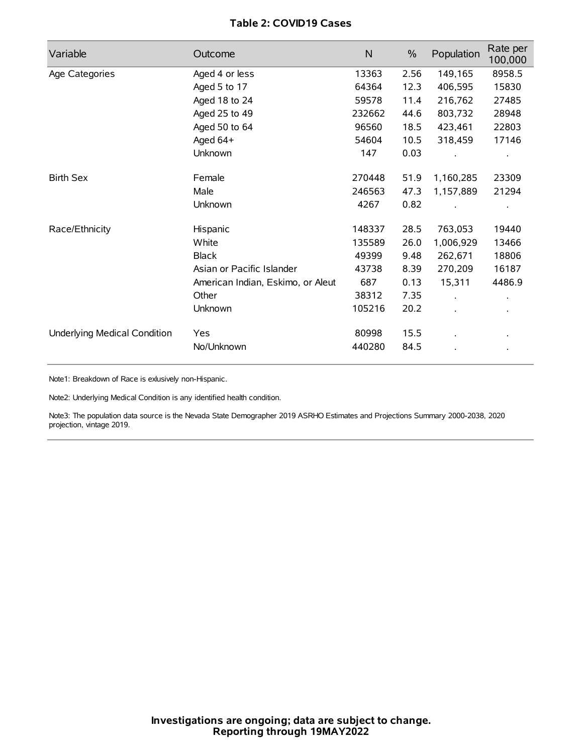# **Table 2: COVID19 Cases**

| Variable                     | Outcome                           | $\mathsf{N}$ | $\%$ | Population           | Rate per<br>100,000 |
|------------------------------|-----------------------------------|--------------|------|----------------------|---------------------|
| Age Categories               | Aged 4 or less                    | 13363        | 2.56 | 149,165              | 8958.5              |
|                              | Aged 5 to 17                      | 64364        | 12.3 | 406,595              | 15830               |
|                              | Aged 18 to 24                     | 59578        | 11.4 | 216,762              | 27485               |
|                              | Aged 25 to 49                     | 232662       | 44.6 | 803,732              | 28948               |
|                              | Aged 50 to 64                     | 96560        | 18.5 | 423,461              | 22803               |
|                              | Aged 64+                          | 54604        | 10.5 | 318,459              | 17146               |
|                              | Unknown                           | 147          | 0.03 |                      |                     |
| <b>Birth Sex</b>             | Female                            | 270448       | 51.9 | 1,160,285            | 23309               |
|                              | Male                              | 246563       | 47.3 | 1,157,889            | 21294               |
|                              | Unknown                           | 4267         | 0.82 |                      |                     |
| Race/Ethnicity               | Hispanic                          | 148337       | 28.5 | 763,053              | 19440               |
|                              | White                             | 135589       | 26.0 | 1,006,929            | 13466               |
|                              | <b>Black</b>                      | 49399        | 9.48 | 262,671              | 18806               |
|                              | Asian or Pacific Islander         | 43738        | 8.39 | 270,209              | 16187               |
|                              | American Indian, Eskimo, or Aleut | 687          | 0.13 | 15,311               | 4486.9              |
|                              | Other                             | 38312        | 7.35 | $\ddot{\phantom{a}}$ |                     |
|                              | Unknown                           | 105216       | 20.2 | ÷.                   |                     |
| Underlying Medical Condition | Yes                               | 80998        | 15.5 |                      |                     |
|                              | No/Unknown                        | 440280       | 84.5 |                      |                     |

Note1: Breakdown of Race is exlusively non-Hispanic.

Note2: Underlying Medical Condition is any identified health condition.

Note3: The population data source is the Nevada State Demographer 2019 ASRHO Estimates and Projections Summary 2000-2038, 2020 projection, vintage 2019.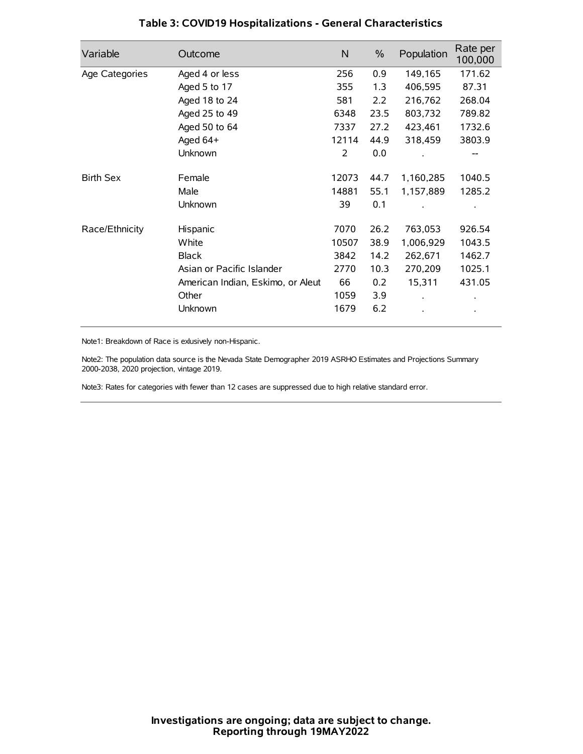| Variable         | Outcome                           | $\mathsf{N}$ | $\%$ | Population | Rate per<br>100,000 |
|------------------|-----------------------------------|--------------|------|------------|---------------------|
| Age Categories   | Aged 4 or less                    | 256          | 0.9  | 149,165    | 171.62              |
|                  | Aged 5 to 17                      | 355          | 1.3  | 406,595    | 87.31               |
|                  | Aged 18 to 24                     | 581          | 2.2  | 216,762    | 268.04              |
|                  | Aged 25 to 49                     | 6348         | 23.5 | 803,732    | 789.82              |
|                  | Aged 50 to 64                     | 7337         | 27.2 | 423,461    | 1732.6              |
|                  | Aged 64+                          | 12114        | 44.9 | 318,459    | 3803.9              |
|                  | Unknown                           | 2            | 0.0  |            |                     |
| <b>Birth Sex</b> | Female                            | 12073        | 44.7 | 1,160,285  | 1040.5              |
|                  | Male                              | 14881        | 55.1 | 1,157,889  | 1285.2              |
|                  | Unknown                           | 39           | 0.1  |            |                     |
| Race/Ethnicity   | Hispanic                          | 7070         | 26.2 | 763,053    | 926.54              |
|                  | White                             | 10507        | 38.9 | 1,006,929  | 1043.5              |
|                  | <b>Black</b>                      | 3842         | 14.2 | 262,671    | 1462.7              |
|                  | Asian or Pacific Islander         | 2770         | 10.3 | 270,209    | 1025.1              |
|                  | American Indian, Eskimo, or Aleut | 66           | 0.2  | 15,311     | 431.05              |
|                  | Other                             | 1059         | 3.9  |            |                     |
|                  | Unknown                           | 1679         | 6.2  |            |                     |

# **Table 3: COVID19 Hospitalizations - General Characteristics**

Note1: Breakdown of Race is exlusively non-Hispanic.

Note2: The population data source is the Nevada State Demographer 2019 ASRHO Estimates and Projections Summary 2000-2038, 2020 projection, vintage 2019.

Note3: Rates for categories with fewer than 12 cases are suppressed due to high relative standard error.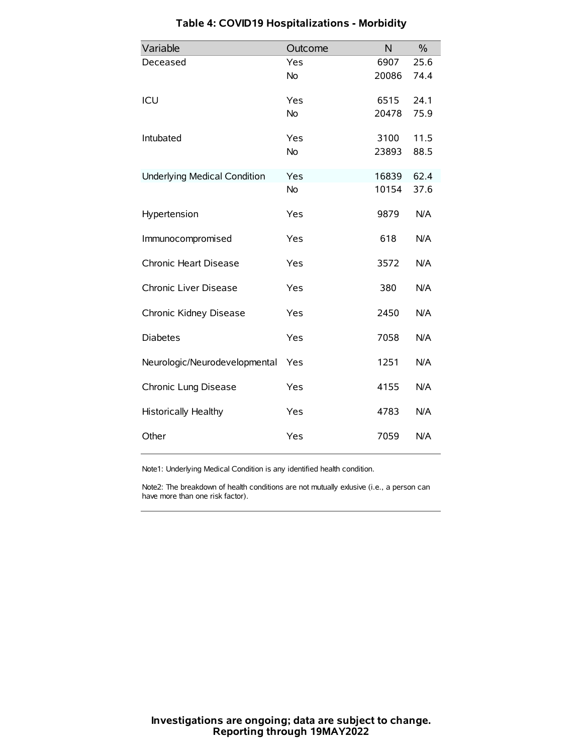| Variable                            | Outcome   | N     | $\%$ |
|-------------------------------------|-----------|-------|------|
| Deceased                            | Yes       | 6907  | 25.6 |
|                                     | <b>No</b> | 20086 | 74.4 |
| ICU                                 | Yes       | 6515  | 24.1 |
|                                     | No        | 20478 | 75.9 |
| Intubated                           | Yes       | 3100  | 11.5 |
|                                     | <b>No</b> | 23893 | 88.5 |
| <b>Underlying Medical Condition</b> | Yes       | 16839 | 62.4 |
|                                     | No        | 10154 | 37.6 |
| Hypertension                        | Yes       | 9879  | N/A  |
| Immunocompromised                   | Yes       | 618   | N/A  |
| Chronic Heart Disease               | Yes       | 3572  | N/A  |
| Chronic Liver Disease               | Yes       | 380   | N/A  |
| Chronic Kidney Disease              | Yes       | 2450  | N/A  |
| <b>Diabetes</b>                     | Yes       | 7058  | N/A  |
| Neurologic/Neurodevelopmental       | Yes       | 1251  | N/A  |
| Chronic Lung Disease                | Yes       | 4155  | N/A  |
| <b>Historically Healthy</b>         | Yes       | 4783  | N/A  |
| Other                               | Yes       | 7059  | N/A  |

# **Table 4: COVID19 Hospitalizations - Morbidity**

Note1: Underlying Medical Condition is any identified health condition.

Note2: The breakdown of health conditions are not mutually exlusive (i.e., a person can have more than one risk factor).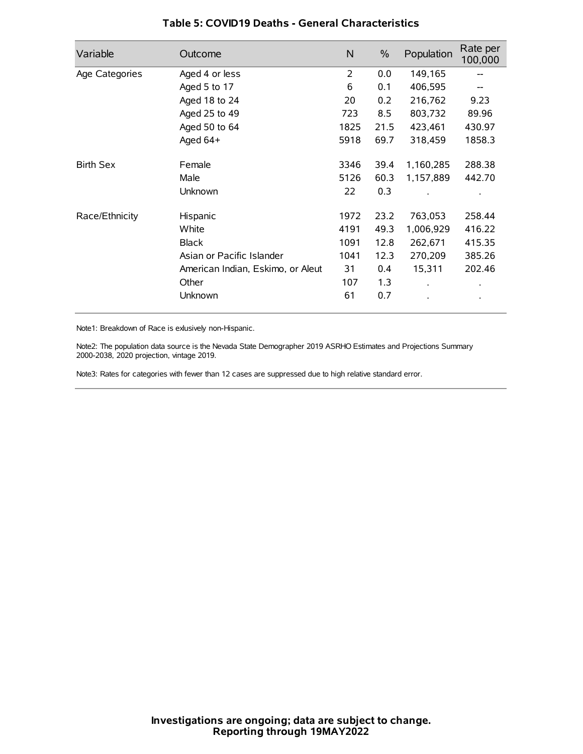| Variable         | Outcome                           | N              | $\%$ | Population           | Rate per<br>100,000 |
|------------------|-----------------------------------|----------------|------|----------------------|---------------------|
| Age Categories   | Aged 4 or less                    | $\overline{2}$ | 0.0  | 149,165              |                     |
|                  | Aged 5 to 17                      | 6              | 0.1  | 406,595              |                     |
|                  | Aged 18 to 24                     | 20             | 0.2  | 216,762              | 9.23                |
|                  | Aged 25 to 49                     | 723            | 8.5  | 803,732              | 89.96               |
|                  | Aged 50 to 64                     | 1825           | 21.5 | 423,461              | 430.97              |
|                  | Aged 64+                          | 5918           | 69.7 | 318,459              | 1858.3              |
| <b>Birth Sex</b> | Female                            | 3346           | 39.4 | 1,160,285            | 288.38              |
|                  | Male                              | 5126           | 60.3 | 1,157,889            | 442.70              |
|                  | Unknown                           | 22             | 0.3  |                      |                     |
| Race/Ethnicity   | Hispanic                          | 1972           | 23.2 | 763,053              | 258.44              |
|                  | White                             | 4191           | 49.3 | 1,006,929            | 416.22              |
|                  | <b>Black</b>                      | 1091           | 12.8 | 262,671              | 415.35              |
|                  | Asian or Pacific Islander         | 1041           | 12.3 | 270,209              | 385.26              |
|                  | American Indian, Eskimo, or Aleut | 31             | 0.4  | 15,311               | 202.46              |
|                  | Other                             | 107            | 1.3  | $\ddot{\phantom{0}}$ | $\bullet$           |
|                  | Unknown                           | 61             | 0.7  |                      | $\bullet$           |

## **Table 5: COVID19 Deaths - General Characteristics**

Note1: Breakdown of Race is exlusively non-Hispanic.

Note2: The population data source is the Nevada State Demographer 2019 ASRHO Estimates and Projections Summary 2000-2038, 2020 projection, vintage 2019.

Note3: Rates for categories with fewer than 12 cases are suppressed due to high relative standard error.